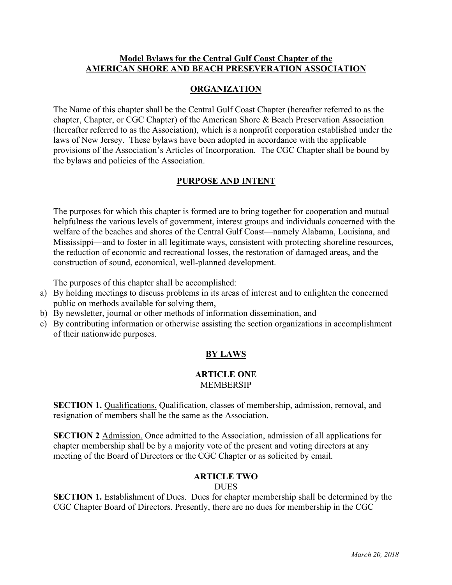## **Model Bylaws for the Central Gulf Coast Chapter of the AMERICAN SHORE AND BEACH PRESEVERATION ASSOCIATION**

## **ORGANIZATION**

The Name of this chapter shall be the Central Gulf Coast Chapter (hereafter referred to as the chapter, Chapter, or CGC Chapter) of the American Shore & Beach Preservation Association (hereafter referred to as the Association), which is a nonprofit corporation established under the laws of New Jersey. These bylaws have been adopted in accordance with the applicable provisions of the Association's Articles of Incorporation. The CGC Chapter shall be bound by the bylaws and policies of the Association.

## **PURPOSE AND INTENT**

The purposes for which this chapter is formed are to bring together for cooperation and mutual helpfulness the various levels of government, interest groups and individuals concerned with the welfare of the beaches and shores of the Central Gulf Coast—namely Alabama, Louisiana, and Mississippi—and to foster in all legitimate ways, consistent with protecting shoreline resources, the reduction of economic and recreational losses, the restoration of damaged areas, and the construction of sound, economical, well-planned development.

The purposes of this chapter shall be accomplished:

- a) By holding meetings to discuss problems in its areas of interest and to enlighten the concerned public on methods available for solving them,
- b) By newsletter, journal or other methods of information dissemination, and
- c) By contributing information or otherwise assisting the section organizations in accomplishment of their nationwide purposes.

# **BY LAWS**

#### **ARTICLE ONE** MEMBERSIP

**SECTION 1.** Qualifications. Qualification, classes of membership, admission, removal, and resignation of members shall be the same as the Association.

**SECTION 2** Admission. Once admitted to the Association, admission of all applications for chapter membership shall be by a majority vote of the present and voting directors at any meeting of the Board of Directors or the CGC Chapter or as solicited by email.

## **ARTICLE TWO**

## **DUES**

**SECTION 1.** Establishment of Dues. Dues for chapter membership shall be determined by the CGC Chapter Board of Directors. Presently, there are no dues for membership in the CGC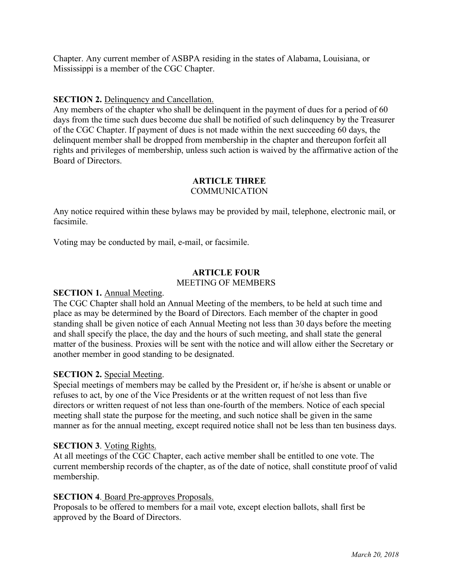Chapter. Any current member of ASBPA residing in the states of Alabama, Louisiana, or Mississippi is a member of the CGC Chapter.

#### **SECTION 2.** Delinquency and Cancellation.

Any members of the chapter who shall be delinquent in the payment of dues for a period of 60 days from the time such dues become due shall be notified of such delinquency by the Treasurer of the CGC Chapter. If payment of dues is not made within the next succeeding 60 days, the delinquent member shall be dropped from membership in the chapter and thereupon forfeit all rights and privileges of membership, unless such action is waived by the affirmative action of the Board of Directors.

#### **ARTICLE THREE COMMUNICATION**

Any notice required within these bylaws may be provided by mail, telephone, electronic mail, or facsimile.

Voting may be conducted by mail, e-mail, or facsimile.

## **ARTICLE FOUR**

#### MEETING OF MEMBERS

#### **SECTION 1.** Annual Meeting.

The CGC Chapter shall hold an Annual Meeting of the members, to be held at such time and place as may be determined by the Board of Directors. Each member of the chapter in good standing shall be given notice of each Annual Meeting not less than 30 days before the meeting and shall specify the place, the day and the hours of such meeting, and shall state the general matter of the business. Proxies will be sent with the notice and will allow either the Secretary or another member in good standing to be designated.

#### **SECTION 2.** Special Meeting.

Special meetings of members may be called by the President or, if he/she is absent or unable or refuses to act, by one of the Vice Presidents or at the written request of not less than five directors or written request of not less than one-fourth of the members. Notice of each special meeting shall state the purpose for the meeting, and such notice shall be given in the same manner as for the annual meeting, except required notice shall not be less than ten business days.

#### **SECTION 3**. Voting Rights.

At all meetings of the CGC Chapter, each active member shall be entitled to one vote. The current membership records of the chapter, as of the date of notice, shall constitute proof of valid membership.

#### **SECTION 4**. Board Pre-approves Proposals.

Proposals to be offered to members for a mail vote, except election ballots, shall first be approved by the Board of Directors.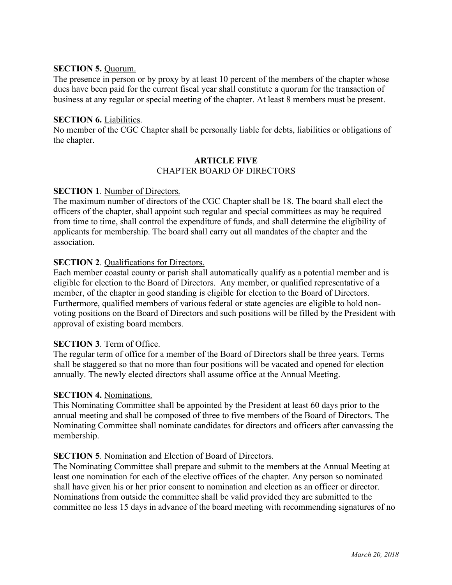## **SECTION 5.** Quorum.

The presence in person or by proxy by at least 10 percent of the members of the chapter whose dues have been paid for the current fiscal year shall constitute a quorum for the transaction of business at any regular or special meeting of the chapter. At least 8 members must be present.

## **SECTION 6.** Liabilities.

No member of the CGC Chapter shall be personally liable for debts, liabilities or obligations of the chapter.

#### **ARTICLE FIVE** CHAPTER BOARD OF DIRECTORS

## **SECTION 1**. Number of Directors.

The maximum number of directors of the CGC Chapter shall be 18. The board shall elect the officers of the chapter, shall appoint such regular and special committees as may be required from time to time, shall control the expenditure of funds, and shall determine the eligibility of applicants for membership. The board shall carry out all mandates of the chapter and the association.

## **SECTION 2.** Qualifications for Directors.

Each member coastal county or parish shall automatically qualify as a potential member and is eligible for election to the Board of Directors. Any member, or qualified representative of a member, of the chapter in good standing is eligible for election to the Board of Directors. Furthermore, qualified members of various federal or state agencies are eligible to hold nonvoting positions on the Board of Directors and such positions will be filled by the President with approval of existing board members.

## **SECTION 3**. Term of Office.

The regular term of office for a member of the Board of Directors shall be three years. Terms shall be staggered so that no more than four positions will be vacated and opened for election annually. The newly elected directors shall assume office at the Annual Meeting.

#### **SECTION 4.** Nominations.

This Nominating Committee shall be appointed by the President at least 60 days prior to the annual meeting and shall be composed of three to five members of the Board of Directors. The Nominating Committee shall nominate candidates for directors and officers after canvassing the membership.

#### **SECTION 5**. Nomination and Election of Board of Directors.

The Nominating Committee shall prepare and submit to the members at the Annual Meeting at least one nomination for each of the elective offices of the chapter. Any person so nominated shall have given his or her prior consent to nomination and election as an officer or director. Nominations from outside the committee shall be valid provided they are submitted to the committee no less 15 days in advance of the board meeting with recommending signatures of no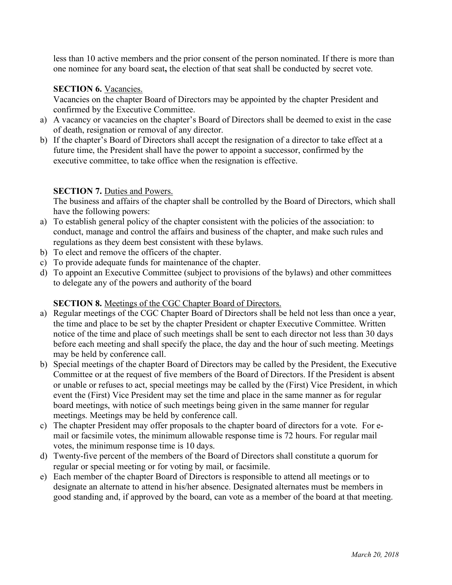less than 10 active members and the prior consent of the person nominated. If there is more than one nominee for any board seat**,** the election of that seat shall be conducted by secret vote.

## **SECTION 6.** Vacancies.

Vacancies on the chapter Board of Directors may be appointed by the chapter President and confirmed by the Executive Committee.

- a) A vacancy or vacancies on the chapter's Board of Directors shall be deemed to exist in the case of death, resignation or removal of any director.
- b) If the chapter's Board of Directors shall accept the resignation of a director to take effect at a future time, the President shall have the power to appoint a successor, confirmed by the executive committee, to take office when the resignation is effective.

## **SECTION 7. Duties and Powers.**

The business and affairs of the chapter shall be controlled by the Board of Directors, which shall have the following powers:

- a) To establish general policy of the chapter consistent with the policies of the association: to conduct, manage and control the affairs and business of the chapter, and make such rules and regulations as they deem best consistent with these bylaws.
- b) To elect and remove the officers of the chapter.
- c) To provide adequate funds for maintenance of the chapter.
- d) To appoint an Executive Committee (subject to provisions of the bylaws) and other committees to delegate any of the powers and authority of the board

## **SECTION 8.** Meetings of the CGC Chapter Board of Directors.

- a) Regular meetings of the CGC Chapter Board of Directors shall be held not less than once a year, the time and place to be set by the chapter President or chapter Executive Committee. Written notice of the time and place of such meetings shall be sent to each director not less than 30 days before each meeting and shall specify the place, the day and the hour of such meeting. Meetings may be held by conference call.
- b) Special meetings of the chapter Board of Directors may be called by the President, the Executive Committee or at the request of five members of the Board of Directors. If the President is absent or unable or refuses to act, special meetings may be called by the (First) Vice President, in which event the (First) Vice President may set the time and place in the same manner as for regular board meetings, with notice of such meetings being given in the same manner for regular meetings. Meetings may be held by conference call.
- c) The chapter President may offer proposals to the chapter board of directors for a vote. For email or facsimile votes, the minimum allowable response time is 72 hours. For regular mail votes, the minimum response time is 10 days.
- d) Twenty-five percent of the members of the Board of Directors shall constitute a quorum for regular or special meeting or for voting by mail, or facsimile.
- e) Each member of the chapter Board of Directors is responsible to attend all meetings or to designate an alternate to attend in his/her absence. Designated alternates must be members in good standing and, if approved by the board, can vote as a member of the board at that meeting.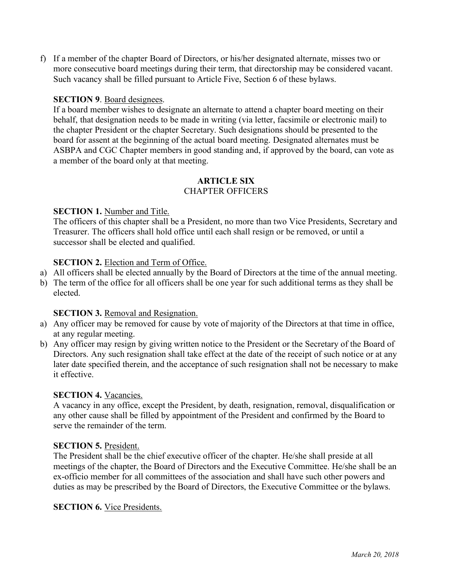f) If a member of the chapter Board of Directors, or his/her designated alternate, misses two or more consecutive board meetings during their term, that directorship may be considered vacant. Such vacancy shall be filled pursuant to Article Five, Section 6 of these bylaws.

## **SECTION 9**. Board designees.

If a board member wishes to designate an alternate to attend a chapter board meeting on their behalf, that designation needs to be made in writing (via letter, facsimile or electronic mail) to the chapter President or the chapter Secretary. Such designations should be presented to the board for assent at the beginning of the actual board meeting. Designated alternates must be ASBPA and CGC Chapter members in good standing and, if approved by the board, can vote as a member of the board only at that meeting.

## **ARTICLE SIX** CHAPTER OFFICERS

## **SECTION 1.** Number and Title.

The officers of this chapter shall be a President, no more than two Vice Presidents, Secretary and Treasurer. The officers shall hold office until each shall resign or be removed, or until a successor shall be elected and qualified.

## **SECTION 2.** Election and Term of Office.

- a) All officers shall be elected annually by the Board of Directors at the time of the annual meeting.
- b) The term of the office for all officers shall be one year for such additional terms as they shall be elected.

## **SECTION 3.** Removal and Resignation.

- a) Any officer may be removed for cause by vote of majority of the Directors at that time in office, at any regular meeting.
- b) Any officer may resign by giving written notice to the President or the Secretary of the Board of Directors. Any such resignation shall take effect at the date of the receipt of such notice or at any later date specified therein, and the acceptance of such resignation shall not be necessary to make it effective.

## **SECTION 4.** Vacancies.

A vacancy in any office, except the President, by death, resignation, removal, disqualification or any other cause shall be filled by appointment of the President and confirmed by the Board to serve the remainder of the term.

## **SECTION 5.** President.

The President shall be the chief executive officer of the chapter. He/she shall preside at all meetings of the chapter, the Board of Directors and the Executive Committee. He/she shall be an ex-officio member for all committees of the association and shall have such other powers and duties as may be prescribed by the Board of Directors, the Executive Committee or the bylaws.

## **SECTION 6.** Vice Presidents.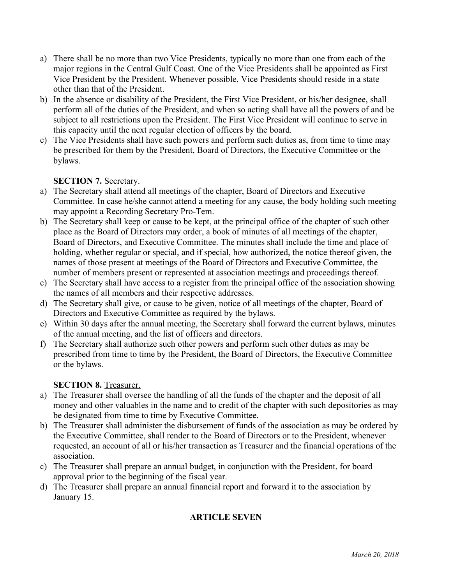- a) There shall be no more than two Vice Presidents, typically no more than one from each of the major regions in the Central Gulf Coast. One of the Vice Presidents shall be appointed as First Vice President by the President. Whenever possible, Vice Presidents should reside in a state other than that of the President.
- b) In the absence or disability of the President, the First Vice President, or his/her designee, shall perform all of the duties of the President, and when so acting shall have all the powers of and be subject to all restrictions upon the President. The First Vice President will continue to serve in this capacity until the next regular election of officers by the board.
- c) The Vice Presidents shall have such powers and perform such duties as, from time to time may be prescribed for them by the President, Board of Directors, the Executive Committee or the bylaws.

# **SECTION 7.** Secretary.

- a) The Secretary shall attend all meetings of the chapter, Board of Directors and Executive Committee. In case he/she cannot attend a meeting for any cause, the body holding such meeting may appoint a Recording Secretary Pro-Tem.
- b) The Secretary shall keep or cause to be kept, at the principal office of the chapter of such other place as the Board of Directors may order, a book of minutes of all meetings of the chapter, Board of Directors, and Executive Committee. The minutes shall include the time and place of holding, whether regular or special, and if special, how authorized, the notice thereof given, the names of those present at meetings of the Board of Directors and Executive Committee, the number of members present or represented at association meetings and proceedings thereof.
- c) The Secretary shall have access to a register from the principal office of the association showing the names of all members and their respective addresses.
- d) The Secretary shall give, or cause to be given, notice of all meetings of the chapter, Board of Directors and Executive Committee as required by the bylaws.
- e) Within 30 days after the annual meeting, the Secretary shall forward the current bylaws, minutes of the annual meeting, and the list of officers and directors.
- f) The Secretary shall authorize such other powers and perform such other duties as may be prescribed from time to time by the President, the Board of Directors, the Executive Committee or the bylaws.

## **SECTION 8.** Treasurer.

- a) The Treasurer shall oversee the handling of all the funds of the chapter and the deposit of all money and other valuables in the name and to credit of the chapter with such depositories as may be designated from time to time by Executive Committee.
- b) The Treasurer shall administer the disbursement of funds of the association as may be ordered by the Executive Committee, shall render to the Board of Directors or to the President, whenever requested, an account of all or his/her transaction as Treasurer and the financial operations of the association.
- c) The Treasurer shall prepare an annual budget, in conjunction with the President, for board approval prior to the beginning of the fiscal year.
- d) The Treasurer shall prepare an annual financial report and forward it to the association by January 15.

# **ARTICLE SEVEN**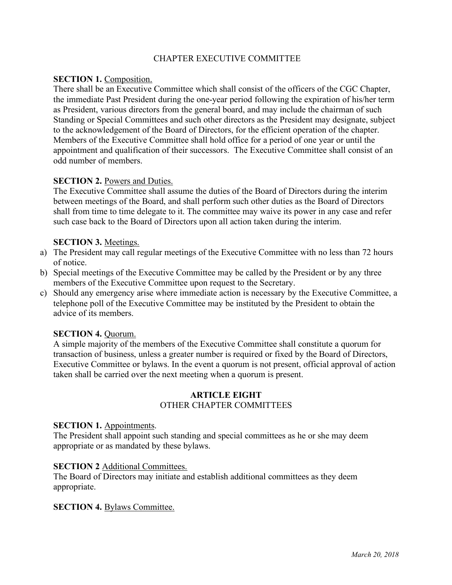## CHAPTER EXECUTIVE COMMITTEE

## **SECTION 1. Composition.**

There shall be an Executive Committee which shall consist of the officers of the CGC Chapter, the immediate Past President during the one-year period following the expiration of his/her term as President, various directors from the general board, and may include the chairman of such Standing or Special Committees and such other directors as the President may designate, subject to the acknowledgement of the Board of Directors, for the efficient operation of the chapter. Members of the Executive Committee shall hold office for a period of one year or until the appointment and qualification of their successors. The Executive Committee shall consist of an odd number of members.

## **SECTION 2.** Powers and Duties.

The Executive Committee shall assume the duties of the Board of Directors during the interim between meetings of the Board, and shall perform such other duties as the Board of Directors shall from time to time delegate to it. The committee may waive its power in any case and refer such case back to the Board of Directors upon all action taken during the interim.

## **SECTION 3.** Meetings.

- a) The President may call regular meetings of the Executive Committee with no less than 72 hours of notice.
- b) Special meetings of the Executive Committee may be called by the President or by any three members of the Executive Committee upon request to the Secretary.
- c) Should any emergency arise where immediate action is necessary by the Executive Committee, a telephone poll of the Executive Committee may be instituted by the President to obtain the advice of its members.

## **SECTION 4. Ouorum.**

A simple majority of the members of the Executive Committee shall constitute a quorum for transaction of business, unless a greater number is required or fixed by the Board of Directors, Executive Committee or bylaws. In the event a quorum is not present, official approval of action taken shall be carried over the next meeting when a quorum is present.

# **ARTICLE EIGHT**

## OTHER CHAPTER COMMITTEES

#### **SECTION 1.** Appointments.

The President shall appoint such standing and special committees as he or she may deem appropriate or as mandated by these bylaws.

#### **SECTION 2** Additional Committees.

The Board of Directors may initiate and establish additional committees as they deem appropriate.

## **SECTION 4. Bylaws Committee.**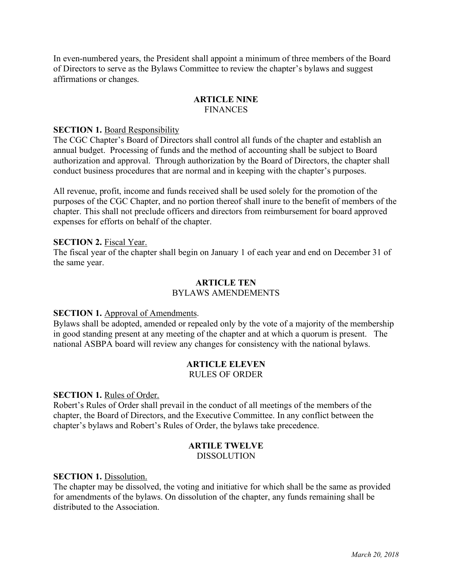In even-numbered years, the President shall appoint a minimum of three members of the Board of Directors to serve as the Bylaws Committee to review the chapter's bylaws and suggest affirmations or changes.

#### **ARTICLE NINE FINANCES**

#### **SECTION 1. Board Responsibility**

The CGC Chapter's Board of Directors shall control all funds of the chapter and establish an annual budget. Processing of funds and the method of accounting shall be subject to Board authorization and approval. Through authorization by the Board of Directors, the chapter shall conduct business procedures that are normal and in keeping with the chapter's purposes.

All revenue, profit, income and funds received shall be used solely for the promotion of the purposes of the CGC Chapter, and no portion thereof shall inure to the benefit of members of the chapter. This shall not preclude officers and directors from reimbursement for board approved expenses for efforts on behalf of the chapter.

#### **SECTION 2.** Fiscal Year.

The fiscal year of the chapter shall begin on January 1 of each year and end on December 31 of the same year.

#### **ARTICLE TEN** BYLAWS AMENDEMENTS

#### **SECTION 1.** Approval of Amendments.

Bylaws shall be adopted, amended or repealed only by the vote of a majority of the membership in good standing present at any meeting of the chapter and at which a quorum is present. The national ASBPA board will review any changes for consistency with the national bylaws.

#### **ARTICLE ELEVEN** RULES OF ORDER

#### **SECTION 1.** Rules of Order.

Robert's Rules of Order shall prevail in the conduct of all meetings of the members of the chapter, the Board of Directors, and the Executive Committee. In any conflict between the chapter's bylaws and Robert's Rules of Order, the bylaws take precedence.

#### **ARTILE TWELVE**

DISSOLUTION

#### **SECTION 1.** Dissolution.

The chapter may be dissolved, the voting and initiative for which shall be the same as provided for amendments of the bylaws. On dissolution of the chapter, any funds remaining shall be distributed to the Association.